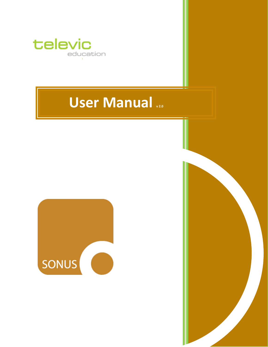

# **User Manual**  $_{2.0}$



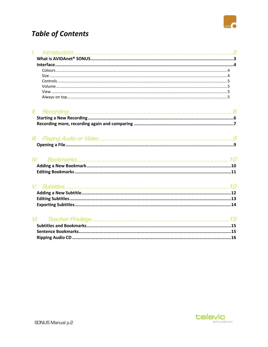

## **Table of Contents**

| $\mathcal{L}$ |       |
|---------------|-------|
|               |       |
|               |       |
|               |       |
|               |       |
|               |       |
|               |       |
|               |       |
|               |       |
|               |       |
|               |       |
|               |       |
|               |       |
|               |       |
|               |       |
|               | IV    |
|               |       |
|               |       |
|               |       |
|               |       |
|               |       |
|               |       |
|               |       |
|               |       |
|               | $V$ . |
|               |       |
|               |       |
|               |       |
|               |       |
|               |       |
|               |       |
|               |       |

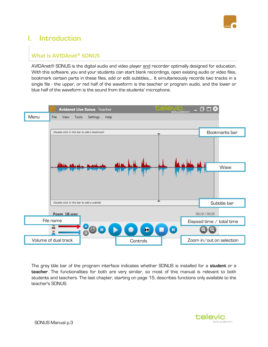

## <span id="page-2-0"></span>**I. Introduction**

## <span id="page-2-1"></span>**What is AVIDAnet® SONUS**

AVIDAnet® SONUS is the digital audio and video player and recorder optimally designed for education. With this software, you and your students can start blank recordings, open existing audio or video files, bookmark certain parts in these files, add or edit subtitles,… It simultaneously records two tracks in a single file - the upper, or red half of the waveform is the teacher or program audio, and the lower or blue half of the waveform is the sound from the students' microphone.



The grey title bar of the program interface indicates whether SONUS is installed for a **student** or a **teacher**. The functionalities for both are very similar, so most of this manual is relevant to both students and teachers. The last chapter, starting on page [15,](#page-14-0) describes functions only available to the teacher's SONUS.

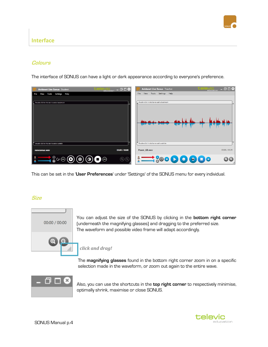

## <span id="page-3-0"></span>**Interface**

## <span id="page-3-1"></span>**Colours**

The interface of SONUS can have a light or dark appearance according to everyone's preference.

| <b>EVIC</b><br>education<br><b>Avidanet Live Sonus</b> Student | $-00$                          | <b>Celevic</b><br><b>Education</b><br><b>Avidanet Live Sonus Teacher</b>                                                                                                | $ \overline{0}$ $\Box$ $\odot$ |
|----------------------------------------------------------------|--------------------------------|-------------------------------------------------------------------------------------------------------------------------------------------------------------------------|--------------------------------|
| Tools Settings Help<br>View<br>File                            |                                | View Tools Settings Help<br>File                                                                                                                                        |                                |
|                                                                |                                |                                                                                                                                                                         |                                |
| Double-click in this bar to add a bookmark                     |                                | Double-click in this bar to add a bookmark                                                                                                                              |                                |
|                                                                |                                |                                                                                                                                                                         |                                |
| Double-click in this bar to add a subtitle                     |                                | Double-click in this bar to add a subtitle                                                                                                                              |                                |
| newsonus.wav                                                   | 00:00 / 00:00                  | Poem 1B.wav                                                                                                                                                             | 00:00 / 00:29                  |
| <u>:━━</u> •°⊙⊙⊙⊙●                                             | $\textcircled{\scriptsize{0}}$ | $\frac{1}{2}$ $\frac{1}{2}$ $\frac{1}{6}$ $\frac{1}{2}$ $\frac{1}{6}$ $\frac{1}{2}$ $\frac{1}{2}$ $\frac{1}{2}$ $\frac{1}{2}$ $\frac{1}{2}$ $\frac{1}{2}$ $\frac{1}{2}$ | $Q$ $Q$                        |

This can be set in the '**User Preferences**' under 'Settings' of the SONUS menu for every individual.

## <span id="page-3-2"></span>**Size**



You can adjust the size of the SONUS by clicking in the **bottom right corner** (underneath the magnifying glasses) and dragging to the preferred size. The waveform and possible video frame will adapt accordingly.

### *click and drag!*

The **magnifying glasses** found in the bottom right corner zoom in on a specific selection made in the waveform, or zoom out again to the entire wave.



Also, you can use the shortcuts in the **top right corner** to respectively minimise, optimally shrink, maximise or close SONUS.

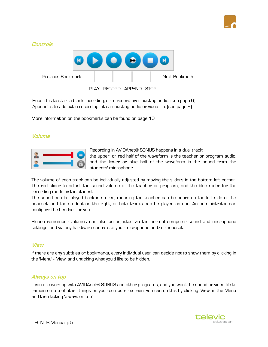

<span id="page-4-0"></span>

'Record' is to start a blank recording, or to record over existing audio. (see pag[e 6\)](#page-5-1) 'Append' is to add extra recording into an existing audio or video file. (see pag[e 8\)](#page-7-0)

More information on the bookmarks can be found on page [10.](#page-9-0)

## <span id="page-4-1"></span>**Volume**



Recording in AVIDAnet® SONUS happens in a dual track:

the upper, or red half of the waveform is the teacher or program audio, and the lower or blue half of the waveform is the sound from the students' microphone.

The volume of each track can be individually adjusted by moving the sliders in the bottom left corner. The red slider to adjust the sound volume of the teacher or program, and the blue slider for the recording made by the student.

The sound can be played back in stereo, meaning the teacher can be heard on the left side of the headset, and the student on the right, or both tracks can be played as one. An administrator can configure the headset for you.

Please remember volumes can also be adjusted via the normal computer sound and microphone settings, and via any hardware controls of your microphone and/or headset.

### <span id="page-4-2"></span>**View**

If there are any subtitles or bookmarks, every individual user can decide not to show them by clicking in the 'Menu' - 'View' and unticking what you'd like to be hidden.

### <span id="page-4-3"></span>**Always on top**

If you are working with AVIDAnet® SONUS and other programs, and you want the sound or video file to remain on top of other things on your computer screen, you can do this by clicking 'View' in the Menu and then ticking 'always on top'.

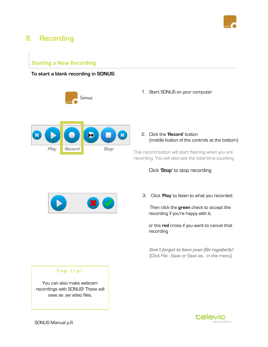

## <span id="page-5-0"></span>**II. Recording**

## <span id="page-5-1"></span>**Starting a New Recording**

### **To start a blank recording in SONUS:**



Sonus

1. Start SONUS on your computer

2. Click the '**Record**' button (middle button of the controls at the bottom)

This record button will start flashing when you are recording. You will also see the total time counting.

### Click '**Stop**' to stop recording



3. Click '**Play**' to listen to what you recorded.

 Then click the **green** check to accept the recording if you're happy with it,

or the **red** cross if you want to cancel that recording

*Don't forget to Save your file regularly!* (Click File - Save or Save as... in the menu)

#### **T o p T i p !**

You can also make webcam recordings with SONUS! These will save as .avi video files.

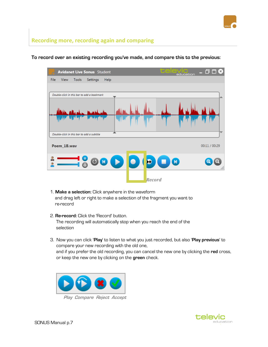

## <span id="page-6-0"></span>**Recording more, recording again and comparing**



### **To record over an existing recording you've made, and compare this to the previous:**

- 1. **Make a selection:** Click anywhere in the waveform and drag left or right to make a selection of the fragment you want to re-record
- 2. **Re-record:** Click the 'Record' button. The recording will automatically stop when you reach the end of the selection
- 3. Now you can click '**Play**' to listen to what you just recorded, but also '**Play previous**' to compare your new recording with the old one, and if you prefer the old recording, you can cancel the new one by clicking the **red** cross, or keep the new one by clicking on the **green** check.



 **Play Compare Reject Accept**

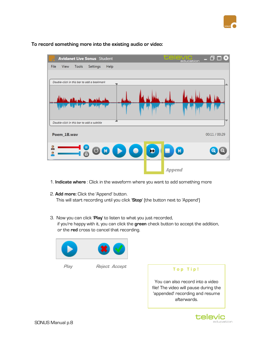

## tas  $\Box$   $\Box$   $\&$ **Avidanet Live Sonus** Student File View Tools Settings Help Double-click in this bar to add a bookmark Double-click in this bar to add a subtitle Poem\_1B.wav 00:11 / 00:29  $\bullet$  $\odot$ Þ.  $\bullet$ M  *Append*

**To record something more into the existing audio or video:**

- 1. **Indicate where** : Click in the waveform where you want to add something more
- 2. **Add more:** Click the 'Append' button. This will start recording until you click '**Stop**' (the button next to 'Append')
- 3. Now you can click '**Play**' to listen to what you just recorded, if you're happy with it, you can click the **green** check button to accept the addition, or the **red** cross to cancel that recording.





 **Play Reject Accept**

<span id="page-7-0"></span>

You can also record into a video file! The video will pause during the 'appended' recording and resume afterwards.

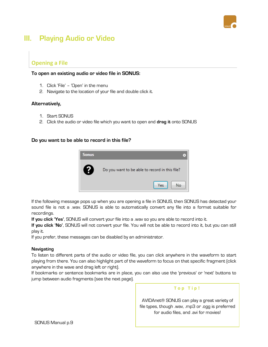

## <span id="page-8-0"></span>**III. Playing Audio or Video**

## <span id="page-8-1"></span>**Opening a File**

#### **To open an existing audio or video file in SONUS:**

- 1. Click 'File' 'Open' in the menu
- 2. Navigate to the location of your file and double click it.

#### **Alternatively,**

- 1. Start SONUS
- 2. Click the audio or video file which you want to open and **drag it** onto SONUS

#### **Do you want to be able to record in this file?**



If the following message pops up when you are opening a file in SONUS, then SONUS has detected your sound file is not a .wav. SONUS is able to automatically convert any file into a format suitable for recordings.

**If you click 'Yes'**, SONUS will convert your file into a .wav so you are able to record into it.

**If you click 'No'**, SONUS will not convert your file. You will not be able to record into it, but you can still play it.

If you prefer, these messages can be disabled by an administrator.

#### **Navigating**

To listen to different parts of the audio or video file, you can click anywhere in the waveform to start playing from there. You can also highlight part of the waveform to focus on that specific fragment (click anywhere in the wave and drag left or right).

If bookmarks or sentence bookmarks are in place, you can also use the 'previous' or 'next' buttons to jump between audio fragments (see the next page).

#### **T o p T i p !**

AVIDAnet® SONUS can play a great variety of file types, though .wav, .mp3 or .ogg is preferred for audio files, and .avi for movies!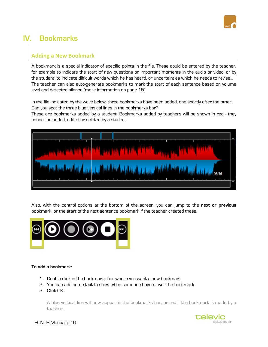

## <span id="page-9-0"></span>**IV. Bookmarks**

## <span id="page-9-1"></span>**Adding a New Bookmark**

A bookmark is a special indicator of specific points in the file. These could be entered by the teacher, for example to indicate the start of new questions or important moments in the audio or video; or by the student, to indicate difficult words which he has heard, or uncertainties which he needs to revise… The teacher can also auto-generate bookmarks to mark the start of each sentence based on volume level and detected silence (more information on page [15\)](#page-14-2).

In the file indicated by the wave below, three bookmarks have been added, one shortly after the other. Can you spot the three blue vertical lines in the bookmarks bar?

These are bookmarks added by a student. Bookmarks added by teachers will be shown in red - they cannot be added, edited or deleted by a student.



Also, with the control options at the bottom of the screen, you can jump to the **next or previous** bookmark, or the start of the next sentence bookmark if the teacher created these.



#### **To add a bookmark:**

- 1. Double click in the bookmarks bar where you want a new bookmark
- 2. You can add some text to show when someone hovers over the bookmark
- 3. Click OK

A blue vertical line will now appear in the bookmarks bar, or red if the bookmark is made by a teacher.



SONUS Manual p.10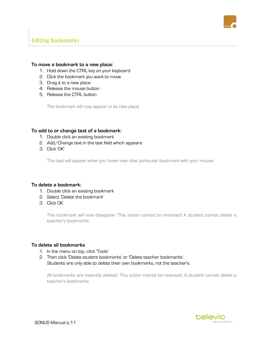

## <span id="page-10-0"></span>**Editing Bookmarks**

#### **To move a bookmark to a new place:**

- 1. Hold down the CTRL key on your keyboard
- 2. Click the bookmark you want to move
- 3. Drag it to a new place
- 4. Release the mouse button
- 5. Release the CTRL button

The bookmark will now appear in its new place.

#### **To add to or change text of a bookmark:**

- 1. Double click an existing bookmark
- 2. Add/Change text in the text field which appears
- 3. Click 'OK'

This text will appear when you hover over that particular bookmark with your mouse.

#### **To delete a bookmark:**

- 1. Double click an existing bookmark
- 2. Select 'Delete the bookmark'
- 3. Click OK

This bookmark will now disappear. This action cannot be reversed! A student cannot delete a teacher's bookmarks.

#### **To delete all bookmarks**

- 1. In the menu on top, click 'Tools'
- 2. Then click 'Delete student bookmarks' or 'Delete teacher bookmarks'. Students are only able to delete their own bookmarks, not the teacher's.

All bookmarks are instantly deleted. This action cannot be reversed. A student cannot delete a teacher's bookmarks.

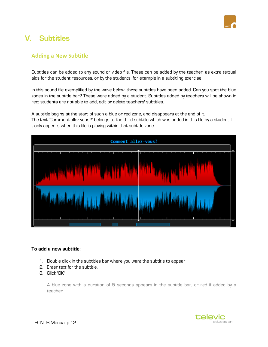

## <span id="page-11-0"></span>**V. Subtitles**

## <span id="page-11-1"></span>**Adding a New Subtitle**

Subtitles can be added to any sound or video file. These can be added by the teacher, as extra textual aids for the student resources, or by the students, for example in a subtitling exercise.

In this sound file exemplified by the wave below, three subtitles have been added. Can you spot the blue zones in the subtitle bar? These were added by a student. Subtitles added by teachers will be shown in red; students are not able to add, edit or delete teachers' subtitles.

A subtitle begins at the start of such a blue or red zone, and disappears at the end of it. The text 'Comment allez-vous?' belongs to the third subtitle which was added in this file by a student. I t only appears when this file is playing within that subtitle zone.



#### **To add a new subtitle:**

- 1. Double click in the subtitles bar where you want the subtitle to appear
- 2. Enter text for the subtitle.
- 3. Click 'OK'.

A blue zone with a duration of 5 seconds appears in the subtitle bar, or red if added by a teacher.

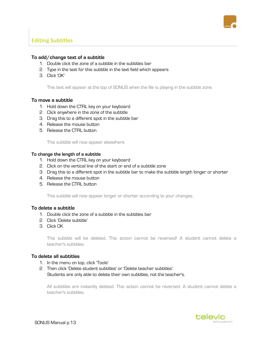

## <span id="page-12-0"></span>**Editing Subtitles**

#### **To add/change text of a subtitle**

- 1. Double click the zone of a subtitle in the subtitles bar
- 2. Type in the text for this subtitle in the text field which appears
- 3. Click 'OK'

This text will appear at the top of SONUS when the file is playing in the subtitle zone.

#### **To move a subtitle**

- 1. Hold down the CTRL key on your keyboard
- 2. Click anywhere in the zone of the subtitle
- 3. Drag this to a different spot in the subtitle bar
- 4. Release the mouse button
- 5. Release the CTRL button

This subtitle will now appear elsewhere.

#### **To change the length of a subtitle**

- 1. Hold down the CTRL key on your keyboard
- 2. Click on the vertical line of the start or end of a subtitle zone
- 3. Drag this to a different spot in the subtitle bar to make the subtitle length longer or shorter
- 4. Release the mouse button
- 5. Release the CTRL button

This subtitle will now appear longer or shorter according to your changes.

#### **To delete a subtitle**

- 1. Double click the zone of a subtitle in the subtitles bar
- 2. Click 'Delete subtitle'
- 3. Click OK

This subtitle will be deleted. This action cannot be reversed! A student cannot delete a teacher's subtitles.

#### **To delete all subtitles**

- 1. In the menu on top, click 'Tools'
- 2. Then click 'Delete student subtitles' or 'Delete teacher subtitles'. Students are only able to delete their own subtitles, not the teacher's.

All subtitles are instantly deleted. This action cannot be reversed. A student cannot delete a teacher's subtitles.

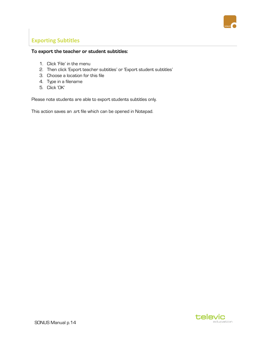

## <span id="page-13-0"></span>**Exporting Subtitles**

## **To export the teacher or student subtitles:**

- 1. Click 'File' in the menu
- 2. Then click 'Export teacher subtitles' or 'Export student subtitles'
- 3. Choose a location for this file
- 4. Type in a filename
- 5. Click 'OK'

Please note students are able to export students subtitles only.

This action saves an .srt file which can be opened in Notepad.

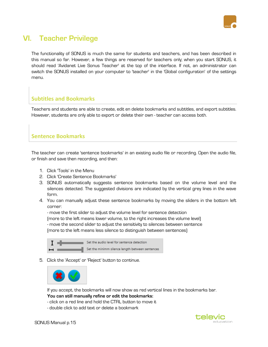

## <span id="page-14-0"></span>**VI. Teacher Privilege**

The functionality of SONUS is much the same for students and teachers, and has been described in this manual so far. However, a few things are reserved for teachers only; when you start SONUS, it should read 'Avidanet Live Sonus Teacher' at the top of the interface. If not, an administrator can switch the SONUS installed on your computer to 'teacher' in the 'Global configuration' of the settings menu.

## <span id="page-14-1"></span>**Subtitles and Bookmarks**

Teachers and students are able to create, edit en delete bookmarks and subtitles, and export subtitles. However, students are only able to export or delete their own - teacher can access both.

## <span id="page-14-2"></span>**Sentence Bookmarks**

The teacher can create 'sentence bookmarks' in an existing audio file or recording. Open the audio file, or finish and save then recording, and then:

- 1. Click 'Tools' in the Menu
- 2. Click 'Create Sentence Bookmarks'
- 3. SONUS automatically suggests sentence bookmarks based on the volume level and the silences detected. The suggested divisions are indicated by the vertical grey lines in the wave form.
- 4. You can manually adjust these sentence bookmarks by moving the sliders in the bottom left corner:

- move the first slider to adjust the volume level for sentence detection (more to the left means lower volume, to the right increases the volume level) - move the second slider to adjust the sensitivity to silences between sentence

(more to the left means less silence to distinguish between sentences)

|                          | Set the audio level for sentence detection      |
|--------------------------|-------------------------------------------------|
| $\overline{\phantom{0}}$ | Set the minimm silence length between sentences |

5. Click the 'Accept' or 'Reject' button to continue.



If you accept, the bookmarks will now show as red vertical lines in the bookmarks bar. **You can still manually refine or edit the bookmarks:**

- click on a red line and hold the CTRL button to move it

- double click to add text or delete a bookmark

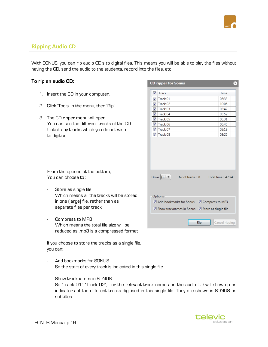

## <span id="page-15-0"></span>**Ripping Audio CD**

With SONUS, you can rip audio CD's to digital files. This means you will be able to play the files without having the CD, send the audio to the students, record into the files, etc.

### **To rip an audio CD:**

- 1. Insert the CD in your computer.
- 2. Click 'Tools' in the menu, then 'Rip'
- 3. The CD ripper menu will open. You can see the different tracks of the CD. Untick any tracks which you do not wish to digitise.

| <b>CD ripper for Sonus</b>                                                  | $\pmb{\times}$ |
|-----------------------------------------------------------------------------|----------------|
| $\blacktriangledown$<br>Track                                               | Time           |
| $\sqrt{ }$ Track 01                                                         | 08:33          |
| $\sqrt{ }$ Track 02                                                         | 10:06          |
| Track 03<br>$\overline{J}$                                                  | 03:47          |
| Track 04<br>$\overline{\mathcal{L}}$                                        | 05:59          |
| Track 05<br>$\overline{\mathcal{J}}$                                        | 06:31          |
| $\sqrt{ }$ Track 06                                                         | 06:45          |
| $\sqrt{ }$ Track 07                                                         | 02:19          |
| Track 08<br>$\blacktriangledown$                                            | 03:25          |
| Drive $\boxed{D}$ $\blacktriangledown$<br>Nr of tracks: 8 Total time: 47:24 |                |
| Options                                                                     |                |
| Add bookmarks for Sonus V Compress to MP3                                   |                |
| √ Show tracknames in Sonus √ Store as single file                           |                |
| Rip                                                                         | Cancel ripping |

From the options at the bottom, You can choose to :

- Store as single file Which means all the tracks will be stored in one (large) file, rather than as separate files per track.
- Compress to MP3 Which means the total file size will be reduced as .mp3 is a compressed format

If you choose to store the tracks as a single file, you can:

- Add bookmarks for SONUS So the start of every track is indicated in this single file
- Show tracknames in SONUS So 'Track 01', 'Track 02',… or the relevant track names on the audio CD will show up as indicators of the different tracks digitised in this single file. They are shown in SONUS as subtitles.

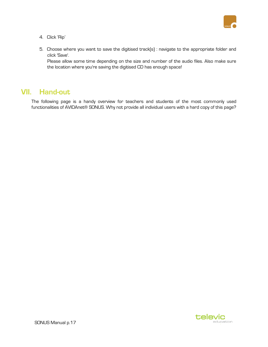

- 4. Click 'Rip'
- 5. Choose where you want to save the digitised track(s) : navigate to the appropriate folder and click 'Save'.

Please allow some time depending on the size and number of the audio files. Also make sure the location where you're saving the digitised CD has enough space!

## **VII. Hand-out**

The following page is a handy overview for teachers and students of the most commonly used functionalities of AVIDAnet® SONUS. Why not provide all individual users with a hard copy of this page?